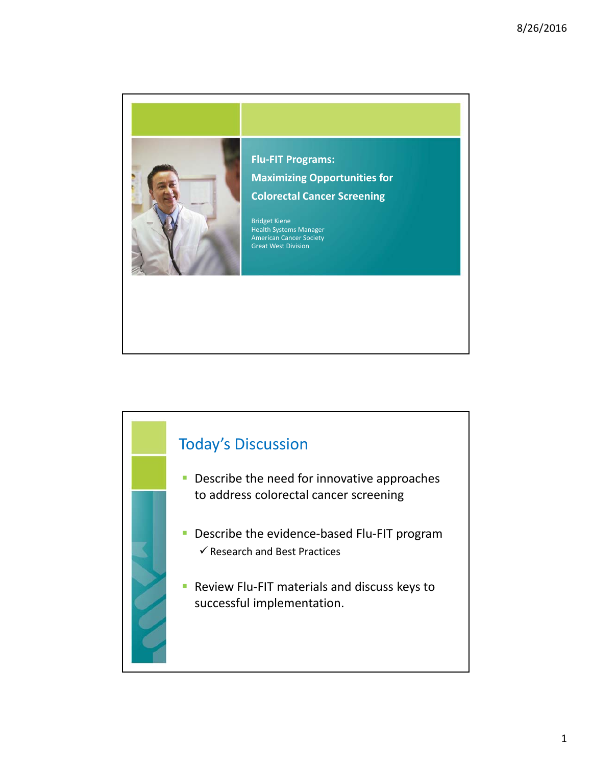

**Flu‐FIT Programs: Maximizing Opportunities for Colorectal Cancer Screening**

Bridget Kiene Health Systems Manager American Cancer Society Great West Division

## Today's Discussion

- **Describe the need for innovative approaches** to address colorectal cancer screening
- Describe the evidence-based Flu-FIT program  $\checkmark$  Research and Best Practices
- Review Flu-FIT materials and discuss keys to successful implementation.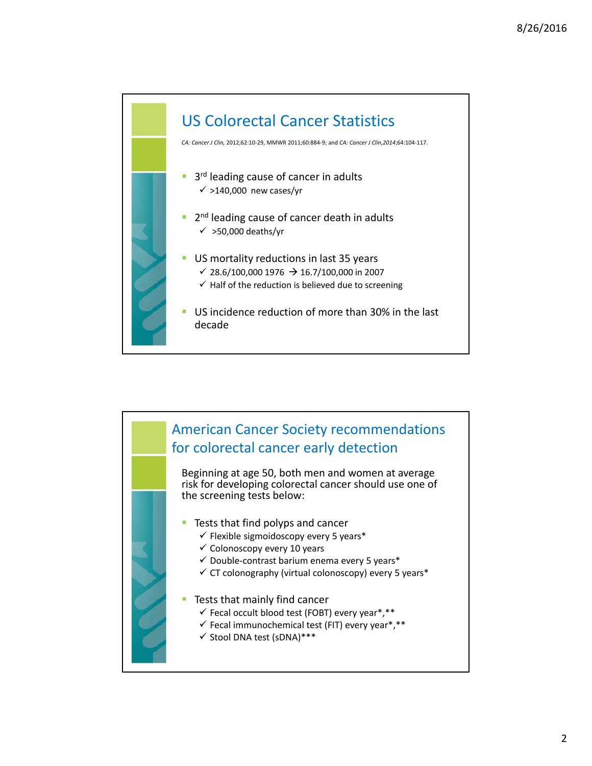

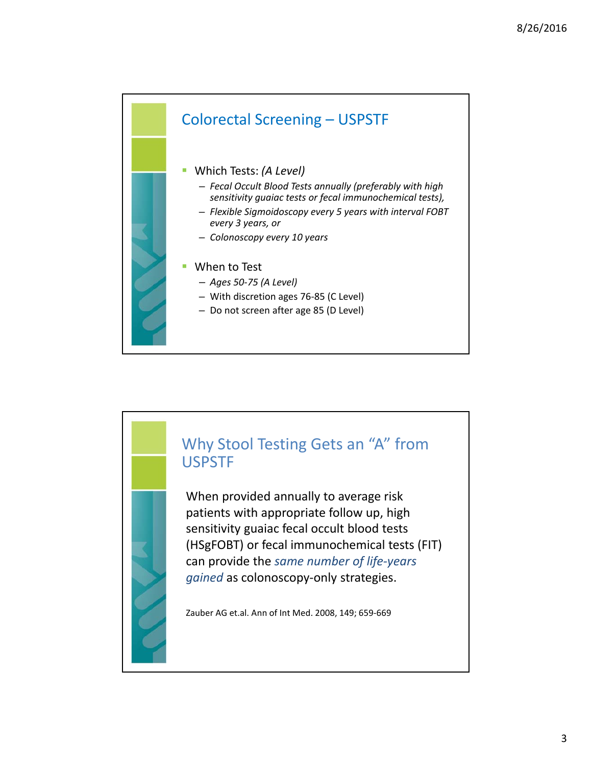

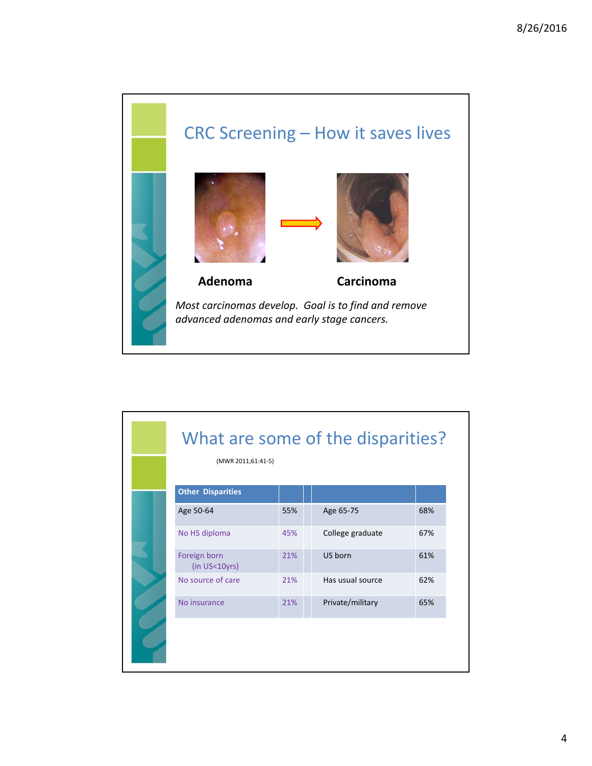

| (MWR 2011;61:41-5)            |     |                  |     |
|-------------------------------|-----|------------------|-----|
| <b>Other Disparities</b>      |     |                  |     |
| Age 50-64                     | 55% | Age 65-75        | 68% |
| No HS diploma                 | 45% | College graduate | 67% |
| Foreign born<br>(in US<10yrs) | 21% | US born          | 61% |
| No source of care             | 21% | Has usual source | 62% |
| No insurance                  | 21% | Private/military | 65% |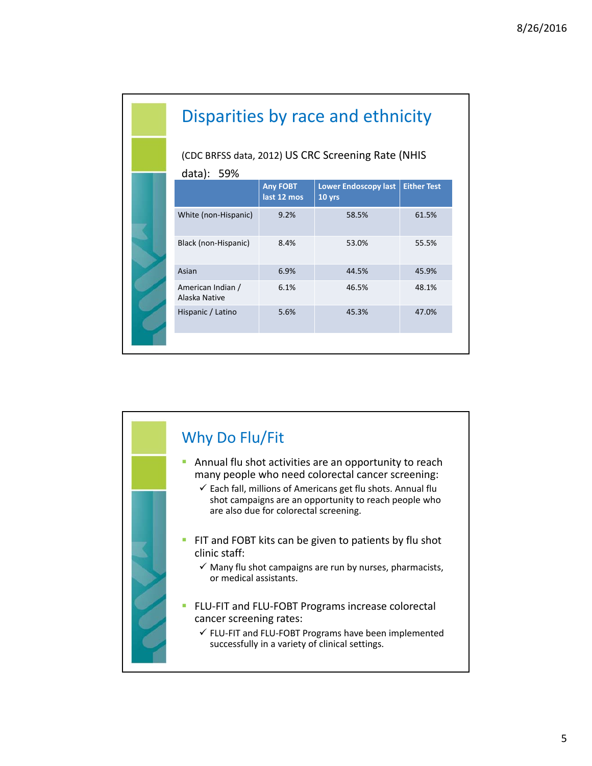| Disparities by race and ethnicity                                |                                |                                       |                    |  |  |
|------------------------------------------------------------------|--------------------------------|---------------------------------------|--------------------|--|--|
| (CDC BRFSS data, 2012) US CRC Screening Rate (NHIS<br>data): 59% |                                |                                       |                    |  |  |
|                                                                  | <b>Any FOBT</b><br>last 12 mos | <b>Lower Endoscopy last</b><br>10 yrs | <b>Either Test</b> |  |  |
| White (non-Hispanic)                                             | 9.2%                           | 58.5%                                 | 61.5%              |  |  |
| Black (non-Hispanic)                                             | 8.4%                           | 53.0%                                 | 55.5%              |  |  |
| Asian                                                            | 6.9%                           | 44.5%                                 | 45.9%              |  |  |
| American Indian /<br>Alaska Native                               | 6.1%                           | 46.5%                                 | 48.1%              |  |  |
| Hispanic / Latino                                                | 5.6%                           | 45.3%                                 | 47.0%              |  |  |
|                                                                  |                                |                                       |                    |  |  |

## Why Do Flu/Fit **Annual flu shot activities are an opportunity to reach** many people who need colorectal cancer screening:  $\checkmark$  Each fall, millions of Americans get flu shots. Annual flu shot campaigns are an opportunity to reach people who are also due for colorectal screening. FIT and FOBT kits can be given to patients by flu shot clinic staff:  $\checkmark$  Many flu shot campaigns are run by nurses, pharmacists, or medical assistants. ■ FLU-FIT and FLU-FOBT Programs increase colorectal cancer screening rates: FLU‐FIT and FLU‐FOBT Programs have been implemented successfully in a variety of clinical settings.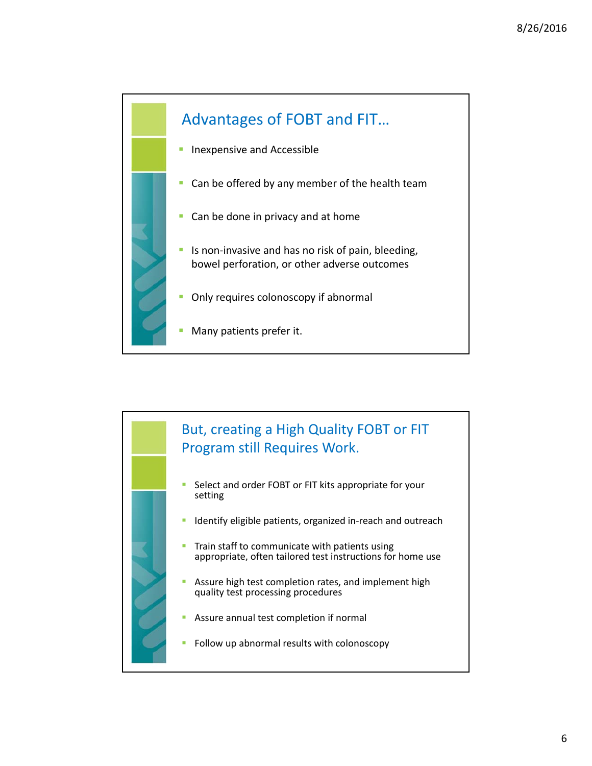

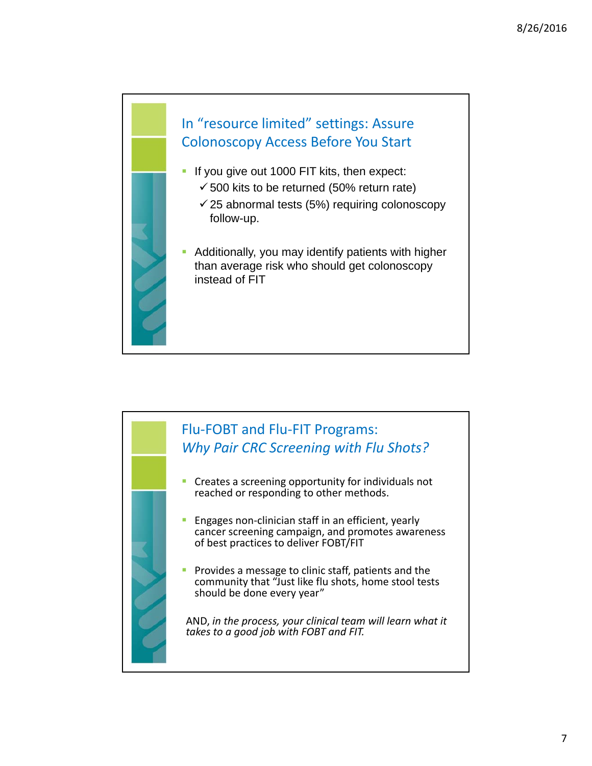

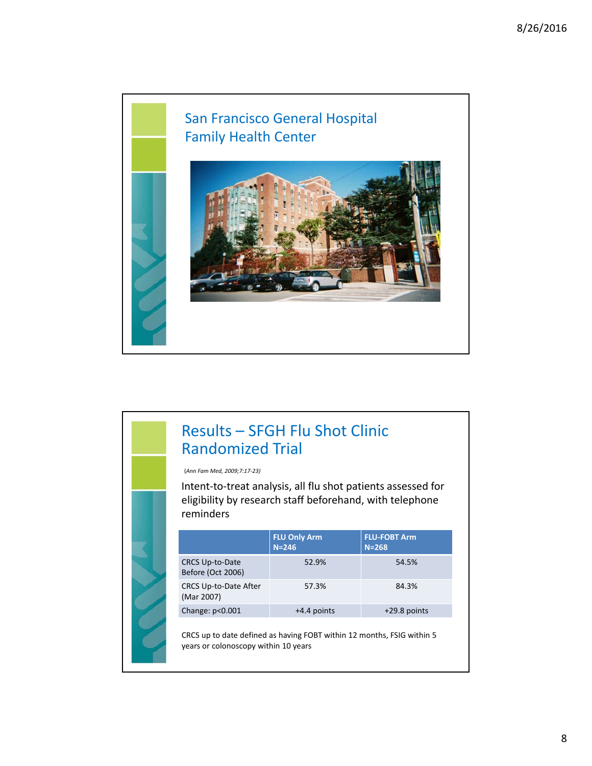

## Results – SFGH Flu Shot Clinic Randomized Trial

(*Ann Fam Med, 2009;7:17‐23)*

Intent‐to‐treat analysis, all flu shot patients assessed for eligibility by research staff beforehand, with telephone reminders

|                                             | <b>FLU Only Arm</b><br>$N = 246$ | <b>FLU-FOBT Arm</b><br>$N = 268$ |
|---------------------------------------------|----------------------------------|----------------------------------|
| <b>CRCS Up-to-Date</b><br>Before (Oct 2006) | 52.9%                            | 54.5%                            |
| CRCS Up-to-Date After<br>(Mar 2007)         | 57.3%                            | 84.3%                            |
| Change: $p<0.001$                           | +4.4 points                      | $+29.8$ points                   |

CRCS up to date defined as having FOBT within 12 months, FSIG within 5 years or colonoscopy within 10 years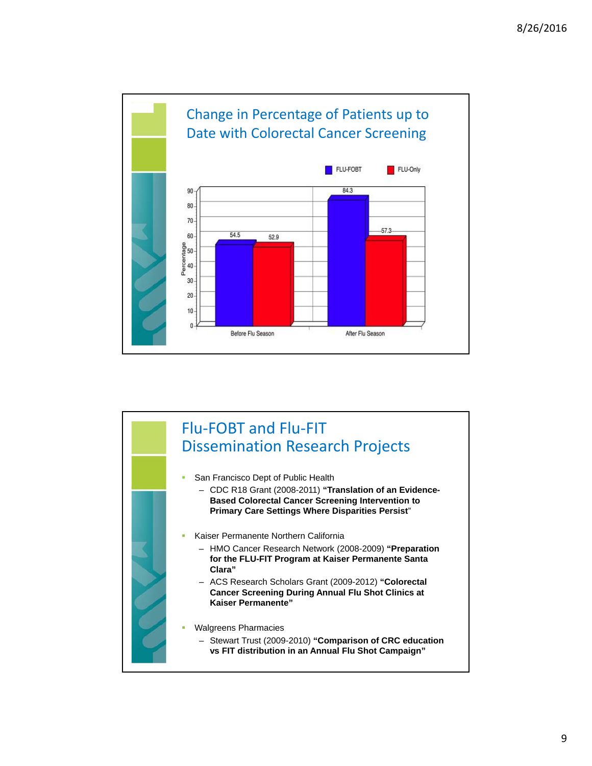

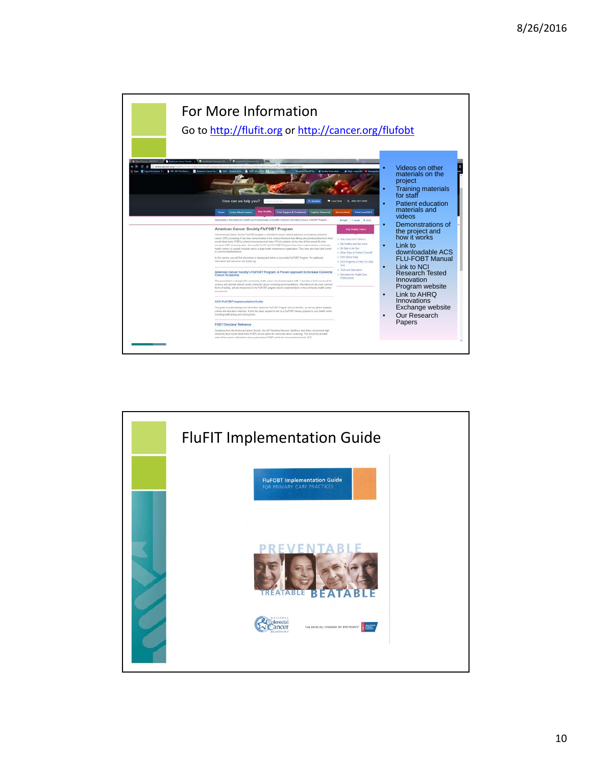

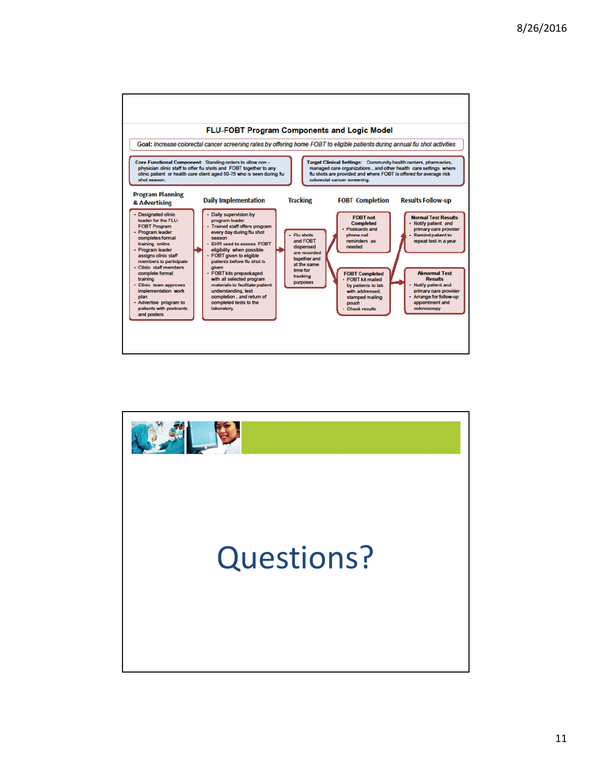